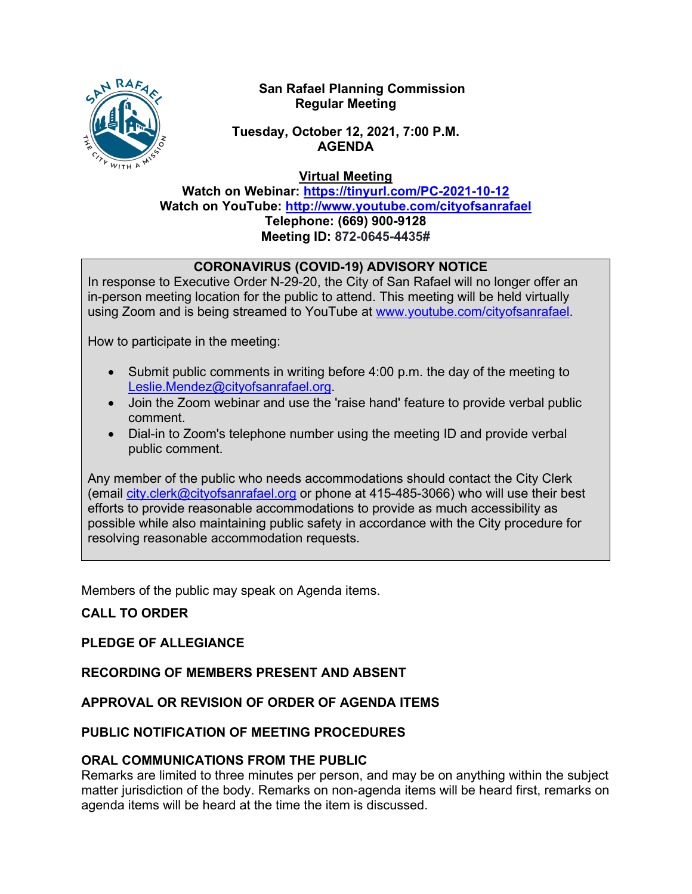

### **San Rafael Planning Commission Regular Meeting**

### **Tuesday, October 12, 2021, 7:00 P.M. AGENDA**

**Virtual Meeting**

**Watch on Webinar: <https://tinyurl.com/PC-2021-10-12> Watch on YouTube: <http://www.youtube.com/cityofsanrafael> Telephone: (669) 900-9128 Meeting ID: 872-0645-4435#**

# **CORONAVIRUS (COVID-19) ADVISORY NOTICE**

In response to Executive Order N-29-20, the City of San Rafael will no longer offer an in-person meeting location for the public to attend. This meeting will be held virtually using Zoom and is being streamed to YouTube at [www.youtube.com/cityofsanrafael.](http://www.youtube.com/cityofsanrafael)

How to participate in the meeting:

- Submit public comments in writing before 4:00 p.m. the day of the meeting to [Leslie.Mendez@cityofsanrafael.org.](mailto:Leslie.Mendez@cityofsanrafael.org)
- Join the Zoom webinar and use the 'raise hand' feature to provide verbal public comment.
- Dial-in to Zoom's telephone number using the meeting ID and provide verbal public comment.

Any member of the public who needs accommodations should contact the City Clerk (email [city.clerk@cityofsanrafael.org](mailto:city.clerk@cityofsanrafael.org) or phone at 415-485-3066) who will use their best efforts to provide reasonable accommodations to provide as much accessibility as possible while also maintaining public safety in accordance with the City procedure for resolving reasonable accommodation requests.

Members of the public may speak on Agenda items.

# **CALL TO ORDER**

# **PLEDGE OF ALLEGIANCE**

#### **RECORDING OF MEMBERS PRESENT AND ABSENT**

# **APPROVAL OR REVISION OF ORDER OF AGENDA ITEMS**

# **PUBLIC NOTIFICATION OF MEETING PROCEDURES**

#### **ORAL COMMUNICATIONS FROM THE PUBLIC**

Remarks are limited to three minutes per person, and may be on anything within the subject matter jurisdiction of the body. Remarks on non-agenda items will be heard first, remarks on agenda items will be heard at the time the item is discussed.